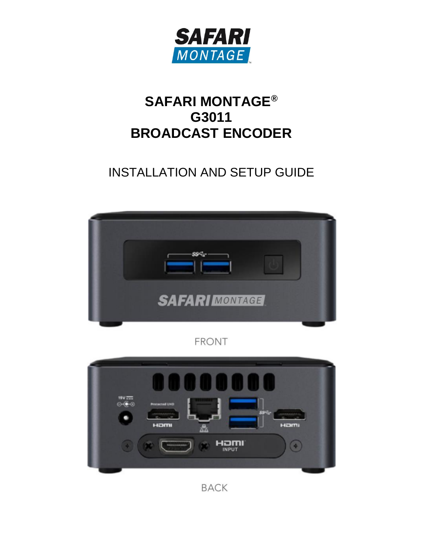

# **SAFARI MONTAGE® G3011 BROADCAST ENCODER**

# INSTALLATION AND SETUP GUIDE



**FRONT** 

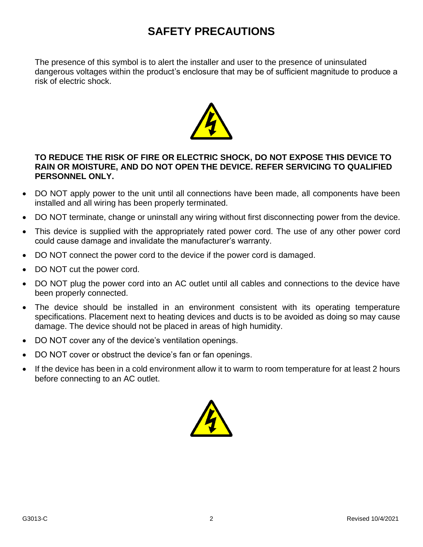# **SAFETY PRECAUTIONS**

The presence of this symbol is to alert the installer and user to the presence of uninsulated dangerous voltages within the product's enclosure that may be of sufficient magnitude to produce a risk of electric shock.



#### **TO REDUCE THE RISK OF FIRE OR ELECTRIC SHOCK, DO NOT EXPOSE THIS DEVICE TO RAIN OR MOISTURE, AND DO NOT OPEN THE DEVICE. REFER SERVICING TO QUALIFIED PERSONNEL ONLY.**

- DO NOT apply power to the unit until all connections have been made, all components have been installed and all wiring has been properly terminated.
- DO NOT terminate, change or uninstall any wiring without first disconnecting power from the device.
- This device is supplied with the appropriately rated power cord. The use of any other power cord could cause damage and invalidate the manufacturer's warranty.
- DO NOT connect the power cord to the device if the power cord is damaged.
- DO NOT cut the power cord.
- DO NOT plug the power cord into an AC outlet until all cables and connections to the device have been properly connected.
- The device should be installed in an environment consistent with its operating temperature specifications. Placement next to heating devices and ducts is to be avoided as doing so may cause damage. The device should not be placed in areas of high humidity.
- DO NOT cover any of the device's ventilation openings.
- DO NOT cover or obstruct the device's fan or fan openings.
- If the device has been in a cold environment allow it to warm to room temperature for at least 2 hours before connecting to an AC outlet.

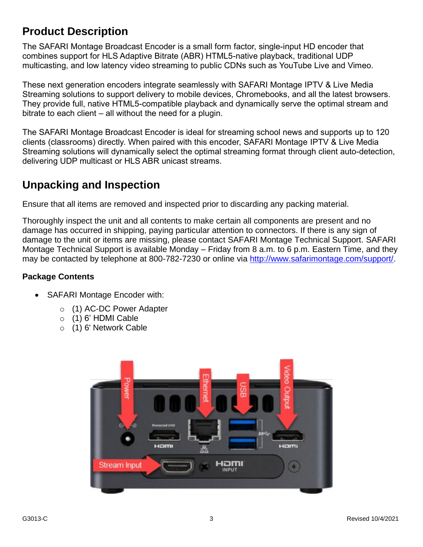# **Product Description**

The SAFARI Montage Broadcast Encoder is a small form factor, single-input HD encoder that combines support for HLS Adaptive Bitrate (ABR) HTML5-native playback, traditional UDP multicasting, and low latency video streaming to public CDNs such as YouTube Live and Vimeo.

These next generation encoders integrate seamlessly with SAFARI Montage IPTV & Live Media Streaming solutions to support delivery to mobile devices, Chromebooks, and all the latest browsers. They provide full, native HTML5-compatible playback and dynamically serve the optimal stream and bitrate to each client – all without the need for a plugin.

The SAFARI Montage Broadcast Encoder is ideal for streaming school news and supports up to 120 clients (classrooms) directly. When paired with this encoder, SAFARI Montage IPTV & Live Media Streaming solutions will dynamically select the optimal streaming format through client auto-detection, delivering UDP multicast or HLS ABR unicast streams.

# **Unpacking and Inspection**

Ensure that all items are removed and inspected prior to discarding any packing material.

Thoroughly inspect the unit and all contents to make certain all components are present and no damage has occurred in shipping, paying particular attention to connectors. If there is any sign of damage to the unit or items are missing, please contact SAFARI Montage Technical Support. SAFARI Montage Technical Support is available Monday – Friday from 8 a.m. to 6 p.m. Eastern Time, and they may be contacted by telephone at 800-782-7230 or online via [http://www.safarimontage.com/support/.](http://www.safarimontage.com/support/)

## **Package Contents**

- SAFARI Montage Encoder with:
	- o (1) AC-DC Power Adapter
	- $\circ$  (1) 6' HDMI Cable
	- o (1) 6' Network Cable

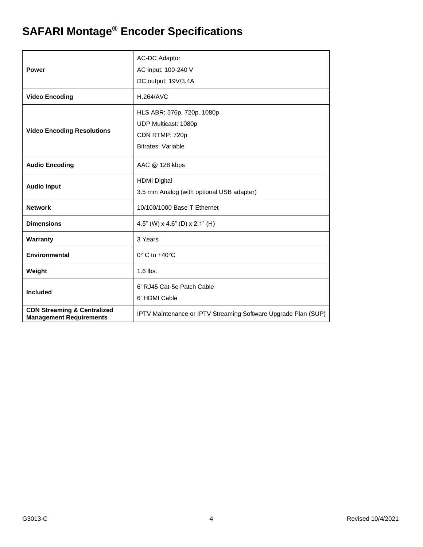# **SAFARI Montage® Encoder Specifications**

| Power                                                                    | <b>AC-DC Adaptor</b><br>AC input: 100-240 V<br>DC output: 19V/3.4A                                |
|--------------------------------------------------------------------------|---------------------------------------------------------------------------------------------------|
| <b>Video Encoding</b>                                                    | <b>H.264/AVC</b>                                                                                  |
| <b>Video Encoding Resolutions</b>                                        | HLS ABR: 576p, 720p, 1080p<br>UDP Multicast: 1080p<br>CDN RTMP: 720p<br><b>Bitrates: Variable</b> |
| <b>Audio Encoding</b>                                                    | AAC @ 128 kbps                                                                                    |
| <b>Audio Input</b>                                                       | <b>HDMI Digital</b><br>3.5 mm Analog (with optional USB adapter)                                  |
| <b>Network</b>                                                           | 10/100/1000 Base-T Ethernet                                                                       |
| <b>Dimensions</b>                                                        | 4.5" (W) $\times$ 4.6" (D) $\times$ 2.1" (H)                                                      |
| Warranty                                                                 | 3 Years                                                                                           |
| <b>Environmental</b>                                                     | $0^\circ$ C to $+40^\circ$ C                                                                      |
| Weight                                                                   | 1.6 lbs.                                                                                          |
| <b>Included</b>                                                          | 6' RJ45 Cat-5e Patch Cable<br>6' HDMI Cable                                                       |
| <b>CDN Streaming &amp; Centralized</b><br><b>Management Requirements</b> | IPTV Maintenance or IPTV Streaming Software Upgrade Plan (SUP)                                    |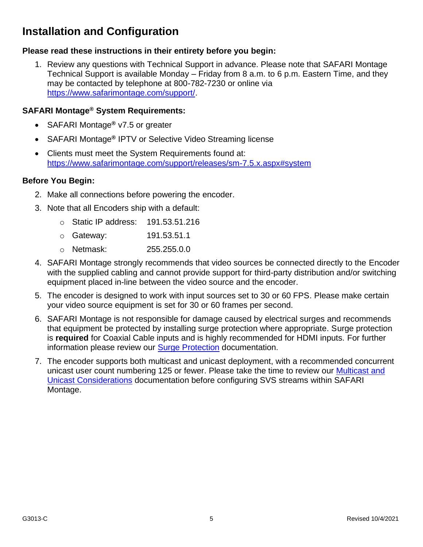# **Installation and Configuration**

### **Please read these instructions in their entirety before you begin:**

1. Review any questions with Technical Support in advance. Please note that SAFARI Montage Technical Support is available Monday – Friday from 8 a.m. to 6 p.m. Eastern Time, and they may be contacted by telephone at 800-782-7230 or online via [https://www.safarimontage.com/support/.](https://www.safarimontage.com/support/)

### **SAFARI Montage® System Requirements:**

- SAFARI Montage**®** v7.5 or greater
- SAFARI Montage**®** IPTV or Selective Video Streaming license
- Clients must meet the System Requirements found at: <https://www.safarimontage.com/support/releases/sm-7.5.x.aspx#system>

#### **Before You Begin:**

- 2. Make all connections before powering the encoder.
- 3. Note that all Encoders ship with a default:
	- o Static IP address: 191.53.51.216
	- o Gateway: 191.53.51.1
	- o Netmask: 255.255.0.0
- 4. SAFARI Montage strongly recommends that video sources be connected directly to the Encoder with the supplied cabling and cannot provide support for third-party distribution and/or switching equipment placed in-line between the video source and the encoder.
- 5. The encoder is designed to work with input sources set to 30 or 60 FPS. Please make certain your video source equipment is set for 30 or 60 frames per second.
- 6. SAFARI Montage is not responsible for damage caused by electrical surges and recommends that equipment be protected by installing surge protection where appropriate. Surge protection is **required** for Coaxial Cable inputs and is highly recommended for HDMI inputs. For further information please review our [Surge Protection](https://drive.google.com/file/d/1NTMVXrWUkTAE9RWKrNkgBZFGsqUsa35w/view) documentation.
- 7. The encoder supports both multicast and unicast deployment, with a recommended concurrent unicast user count numbering 125 or fewer. Please take the time to review our **Multicast and** [Unicast Considerations](https://drive.google.com/file/d/1DY_ilOagFOug9QlidKoMQHi7TqDb3NQ9/view) documentation before configuring SVS streams within SAFARI Montage.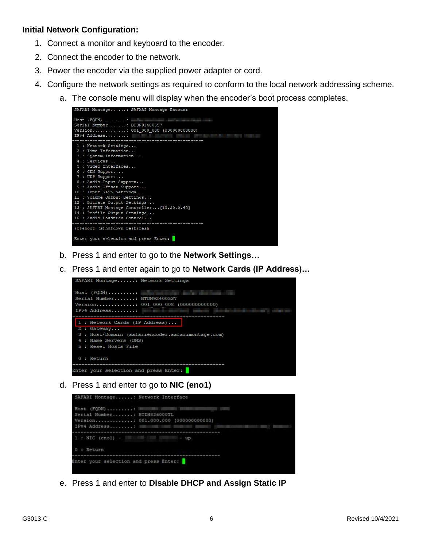#### **Initial Network Configuration:**

- 1. Connect a monitor and keyboard to the encoder.
- 2. Connect the encoder to the network.
- 3. Power the encoder via the supplied power adapter or cord.
- 4. Configure the network settings as required to conform to the local network addressing scheme.
	- a. The console menu will display when the encoder's boot process completes.



- b. Press 1 and enter to go to the **Network Settings…**
- c. Press 1 and enter again to go to **Network Cards (IP Address)…**



d. Press 1 and enter to go to **NIC (eno1)**



e. Press 1 and enter to **Disable DHCP and Assign Static IP**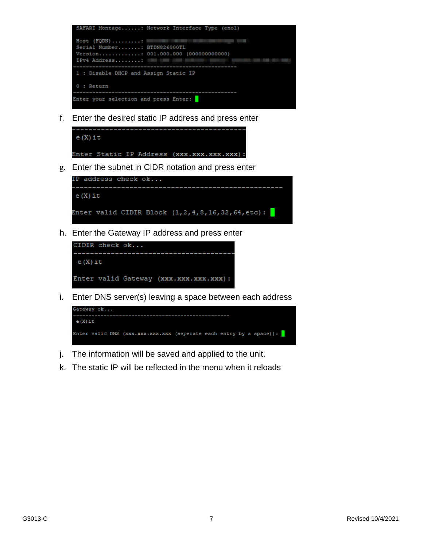

f. Enter the desired static IP address and press enter



g. Enter the subnet in CIDR notation and press enter



h. Enter the Gateway IP address and press enter



i. Enter DNS server(s) leaving a space between each address



- j. The information will be saved and applied to the unit.
- k. The static IP will be reflected in the menu when it reloads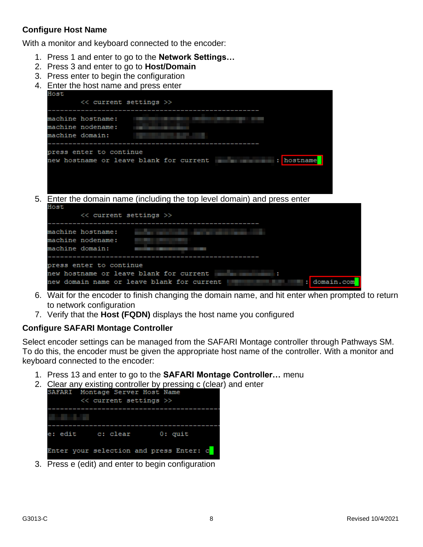## **Configure Host Name**

With a monitor and keyboard connected to the encoder:

- 1. Press 1 and enter to go to the **Network Settings…**
- 2. Press 3 and enter to go to **Host/Domain**
- 3. Press enter to begin the configuration
- 4. Enter the host name and press enter



- 6. Wait for the encoder to finish changing the domain name, and hit enter when prompted to return to network configuration
- 7. Verify that the **Host (FQDN)** displays the host name you configured

#### **Configure SAFARI Montage Controller**

Select encoder settings can be managed from the SAFARI Montage controller through Pathways SM. To do this, the encoder must be given the appropriate host name of the controller. With a monitor and keyboard connected to the encoder:

- 1. Press 13 and enter to go to the **SAFARI Montage Controller…** menu
- 2. Clear any existing controller by pressing c (clear) and enter<br>
SAFARI Montage Server Host Name



3. Press e (edit) and enter to begin configuration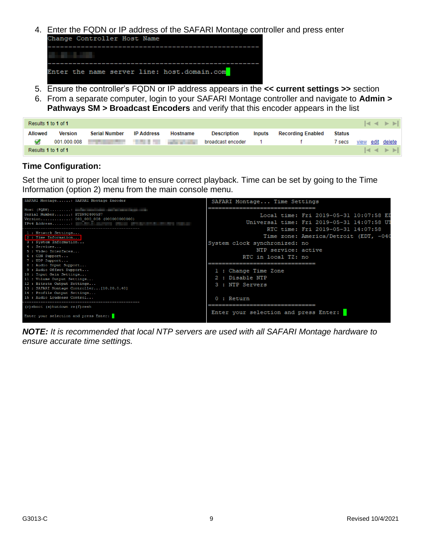4. Enter the FQDN or IP address of the SAFARI Montage controller and press enter<br>Change Controller Host Name

|  |  |  | Enter the name server line: host.domain.com |  |
|--|--|--|---------------------------------------------|--|

- 5. Ensure the controller's FQDN or IP address appears in the **<< current settings >>** section
- 6. From a separate computer, login to your SAFARI Montage controller and navigate to **Admin > Pathways SM > Broadcast Encoders** and verify that this encoder appears in the list

| $ A  \leq  B $<br>Results 1 to 1 of 1 |             |                      |                   |                          |                    |               |                          |               |      |                |
|---------------------------------------|-------------|----------------------|-------------------|--------------------------|--------------------|---------------|--------------------------|---------------|------|----------------|
| <b>Allowed</b>                        | Version     | <b>Serial Number</b> | <b>IP Address</b> | Hostname                 | <b>Description</b> | <i>lnputs</i> | <b>Recording Enabled</b> | <b>Status</b> |      |                |
|                                       | 001.000.008 |                      |                   | <b>Contract Contract</b> | broadcast encoder  |               |                          | ' secs        | view | edit delete    |
| Results 1 to 1 of 1                   |             |                      |                   |                          |                    |               |                          |               |      | $ A  \leq  B $ |

#### **Time Configuration:**

Set the unit to proper local time to ensure correct playback. Time can be set by going to the Time Information (option 2) menu from the main console menu.

| SAFARI Montage: SAFARI Montage Encoder                                                                                                                                                                                 | SAFARI Montage Time Settings               |
|------------------------------------------------------------------------------------------------------------------------------------------------------------------------------------------------------------------------|--------------------------------------------|
|                                                                                                                                                                                                                        | ===========================                |
| Serial Number: BTDN92400557                                                                                                                                                                                            | Local time: Fri 2019-05-31 10:07:58 ED     |
| Version: 001 000 008 (0000000000000)                                                                                                                                                                                   | Universal time: Fri 2019-05-31 14:07:58 UT |
| IPv4 Address: The contract of the contract of the contract of the contract of the contract of the contract of the contract of the contract of the contract of the contract of the contract of the contract of the cont |                                            |
| 1 : Network Settings                                                                                                                                                                                                   | RTC time: Fri 2019-05-31 14:07:58          |
| 2 : Time Information                                                                                                                                                                                                   | Time zone: America/Detroit (EDT, -040      |
| 3 : System Information                                                                                                                                                                                                 | System clock synchronized: no              |
| 4 : Services                                                                                                                                                                                                           | NTP service: active                        |
| 5: Video Interfaces<br>6 : CDN Support                                                                                                                                                                                 |                                            |
| 7 : UDP Support                                                                                                                                                                                                        | RTC in local TZ: no                        |
| 8 : Audio Input Support                                                                                                                                                                                                | =========================                  |
| 9 : Audio Offset Support                                                                                                                                                                                               | 1 : Change Time Zone                       |
| 10 : Input Gain Settings                                                                                                                                                                                               |                                            |
| 11 : Volume Output Settings                                                                                                                                                                                            | 2 : Disable NTP                            |
| 12 : Bitrate Output Settings                                                                                                                                                                                           | 3 : NTP Servers                            |
| 13 : SAFARI Montage Controller [10.20.0.40]                                                                                                                                                                            |                                            |
| 14 : Profile Output Settings<br>15 : Audio Loudness Control                                                                                                                                                            |                                            |
|                                                                                                                                                                                                                        | $0:$ Return                                |
| $(r)$ eboot $(s)$ hutdown re $(f)$ resh                                                                                                                                                                                |                                            |
| Enter your selection and press Enter:                                                                                                                                                                                  | Enter your selection and press Enter:      |

*NOTE: It is recommended that local NTP servers are used with all SAFARI Montage hardware to ensure accurate time settings.*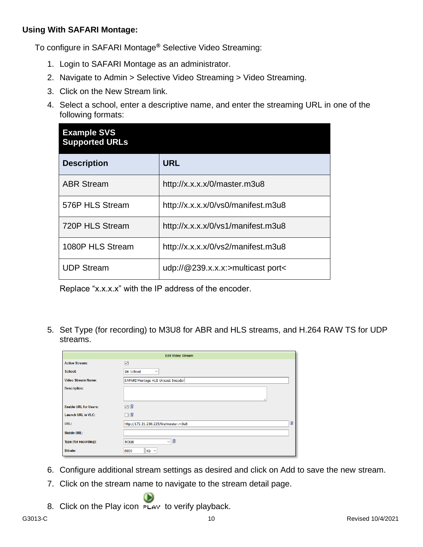### **Using With SAFARI Montage:**

To configure in SAFARI Montage**®** Selective Video Streaming:

- 1. Login to SAFARI Montage as an administrator.
- 2. Navigate to Admin > Selective Video Streaming > Video Streaming.
- 3. Click on the New Stream link.
- 4. Select a school, enter a descriptive name, and enter the streaming URL in one of the following formats:

| <b>Example SVS</b><br><b>Supported URLs</b> |                                    |  |  |
|---------------------------------------------|------------------------------------|--|--|
| <b>Description</b>                          | <b>URL</b>                         |  |  |
| <b>ABR Stream</b>                           | http://x.x.x.x/0/master.m3u8       |  |  |
| 576P HLS Stream                             | http://x.x.x.x/0/vs0/manifest.m3u8 |  |  |
| 720P HLS Stream                             | http://x.x.x.x/0/vs1/manifest.m3u8 |  |  |
| 1080P HLS Stream                            | http://x.x.x.x/0/vs2/manifest.m3u8 |  |  |
| <b>UDP Stream</b>                           | udp://@239.x.x.x:>multicast port<  |  |  |

Replace "x.x.x.x" with the IP address of the encoder.

5. Set Type (for recording) to M3U8 for ABR and HLS streams, and H.264 RAW TS for UDP streams.

| <b>Edit Video Stream</b>     |                                             |  |  |
|------------------------------|---------------------------------------------|--|--|
| <b>Active Stream:</b>        | ☑                                           |  |  |
| <b>School:</b>               | <b>DK School</b><br>$\checkmark$            |  |  |
| <b>Video Stream Name:</b>    | SAFARI Montage HLS Unicast Encoder          |  |  |
| <b>Description:</b>          | п.,                                         |  |  |
| <b>Enable URL for Users:</b> | $\nabla$                                    |  |  |
| <b>Launch URL in VLC:</b>    | ⊡ ⊗                                         |  |  |
| URL:                         | ୲ଵ<br>http://172.21.230.225/hls/master.m3u8 |  |  |
| <b>Mobile URL:</b>           |                                             |  |  |
| Type (for recording):        | 8<br>$\checkmark$<br><b>M3U8</b>            |  |  |
| <b>Bitrate:</b>              | $Kb \sim$<br>6000                           |  |  |

- 6. Configure additional stream settings as desired and click on Add to save the new stream.
- 7. Click on the stream name to navigate to the stream detail page.
- 8. Click on the Play icon  $F_{LAY}$  to verify playback.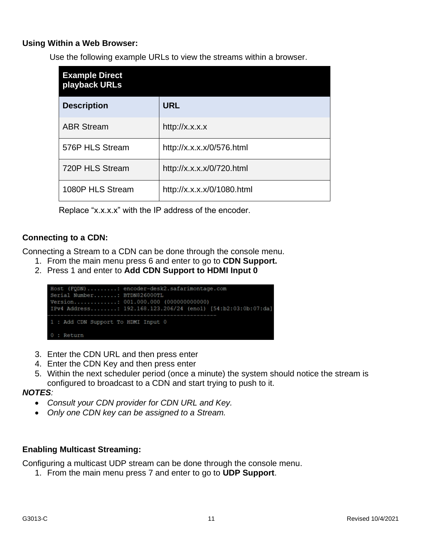### **Using Within a Web Browser:**

Use the following example URLs to view the streams within a browser.

| <b>Example Direct</b><br>playback URLs |                            |  |
|----------------------------------------|----------------------------|--|
| <b>Description</b>                     | <b>URL</b>                 |  |
| <b>ABR Stream</b>                      | http://x.x.x.x             |  |
| 576P HLS Stream                        | http://x.x.x.x/0/576.html  |  |
| 720P HLS Stream                        | http://x.x.x.x/0/720.html  |  |
| 1080P HLS Stream                       | http://x.x.x.x/0/1080.html |  |

Replace "x.x.x.x" with the IP address of the encoder.

### **Connecting to a CDN:**

Connecting a Stream to a CDN can be done through the console menu.

- 1. From the main menu press 6 and enter to go to **CDN Support.**
- 2. Press 1 and enter to **Add CDN Support to HDMI Input 0**



- 3. Enter the CDN URL and then press enter
- 4. Enter the CDN Key and then press enter
- 5. Within the next scheduler period (once a minute) the system should notice the stream is configured to broadcast to a CDN and start trying to push to it.

#### *NOTES:*

- *Consult your CDN provider for CDN URL and Key.*
- *Only one CDN key can be assigned to a Stream.*

#### **Enabling Multicast Streaming:**

Configuring a multicast UDP stream can be done through the console menu.

1. From the main menu press 7 and enter to go to **UDP Support**.